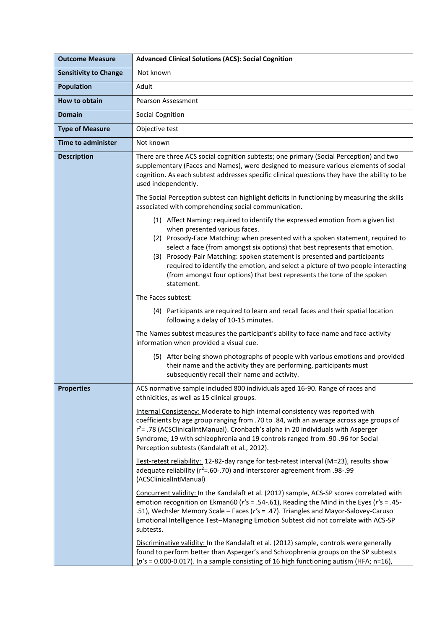| <b>Outcome Measure</b>       | <b>Advanced Clinical Solutions (ACS): Social Cognition</b>                                                                                                                                                                                                                                                                                                                                                                                                                                                                                  |
|------------------------------|---------------------------------------------------------------------------------------------------------------------------------------------------------------------------------------------------------------------------------------------------------------------------------------------------------------------------------------------------------------------------------------------------------------------------------------------------------------------------------------------------------------------------------------------|
| <b>Sensitivity to Change</b> | Not known                                                                                                                                                                                                                                                                                                                                                                                                                                                                                                                                   |
| <b>Population</b>            | Adult                                                                                                                                                                                                                                                                                                                                                                                                                                                                                                                                       |
| <b>How to obtain</b>         | <b>Pearson Assessment</b>                                                                                                                                                                                                                                                                                                                                                                                                                                                                                                                   |
| <b>Domain</b>                | <b>Social Cognition</b>                                                                                                                                                                                                                                                                                                                                                                                                                                                                                                                     |
| <b>Type of Measure</b>       | Objective test                                                                                                                                                                                                                                                                                                                                                                                                                                                                                                                              |
| <b>Time to administer</b>    | Not known                                                                                                                                                                                                                                                                                                                                                                                                                                                                                                                                   |
| <b>Description</b>           | There are three ACS social cognition subtests; one primary (Social Perception) and two<br>supplementary (Faces and Names), were designed to measure various elements of social<br>cognition. As each subtest addresses specific clinical questions they have the ability to be<br>used independently.<br>The Social Perception subtest can highlight deficits in functioning by measuring the skills<br>associated with comprehending social communication.                                                                                 |
|                              | (1) Affect Naming: required to identify the expressed emotion from a given list<br>when presented various faces.<br>(2) Prosody-Face Matching: when presented with a spoken statement, required to<br>select a face (from amongst six options) that best represents that emotion.<br>(3) Prosody-Pair Matching: spoken statement is presented and participants<br>required to identify the emotion, and select a picture of two people interacting<br>(from amongst four options) that best represents the tone of the spoken<br>statement. |
|                              | The Faces subtest:                                                                                                                                                                                                                                                                                                                                                                                                                                                                                                                          |
|                              | (4) Participants are required to learn and recall faces and their spatial location<br>following a delay of 10-15 minutes.                                                                                                                                                                                                                                                                                                                                                                                                                   |
|                              | The Names subtest measures the participant's ability to face-name and face-activity<br>information when provided a visual cue.                                                                                                                                                                                                                                                                                                                                                                                                              |
|                              | (5) After being shown photographs of people with various emotions and provided<br>their name and the activity they are performing, participants must<br>subsequently recall their name and activity.                                                                                                                                                                                                                                                                                                                                        |
| Properties                   | ACS normative sample included 800 individuals aged 16-90. Range of races and<br>ethnicities, as well as 15 clinical groups.                                                                                                                                                                                                                                                                                                                                                                                                                 |
|                              | Internal Consistency: Moderate to high internal consistency was reported with<br>coefficients by age group ranging from .70 to .84, with an average across age groups of<br>r <sup>2</sup> = .78 (ACSClinicalIntManual). Cronbach's alpha in 20 individuals with Asperger<br>Syndrome, 19 with schizophrenia and 19 controls ranged from .90-.96 for Social<br>Perception subtests (Kandalaft et al., 2012).                                                                                                                                |
|                              | Test-retest reliability: 12-82-day range for test-retest interval (M=23), results show<br>adequate reliability ( $r^2$ =.60-.70) and interscorer agreement from .98-.99<br>(ACSClinicalIntManual)                                                                                                                                                                                                                                                                                                                                           |
|                              | Concurrent validity: In the Kandalaft et al. (2012) sample, ACS-SP scores correlated with<br>emotion recognition on Ekman60 ( $r$ 's = .54-.61), Reading the Mind in the Eyes ( $r$ 's = .45-<br>.51), Wechsler Memory Scale - Faces (r's = .47). Triangles and Mayor-Salovey-Caruso<br>Emotional Intelligence Test-Managing Emotion Subtest did not correlate with ACS-SP<br>subtests.                                                                                                                                                     |
|                              | Discriminative validity: In the Kandalaft et al. (2012) sample, controls were generally<br>found to perform better than Asperger's and Schizophrenia groups on the SP subtests<br>$(p's = 0.000 - 0.017)$ . In a sample consisting of 16 high functioning autism (HFA; n=16),                                                                                                                                                                                                                                                               |